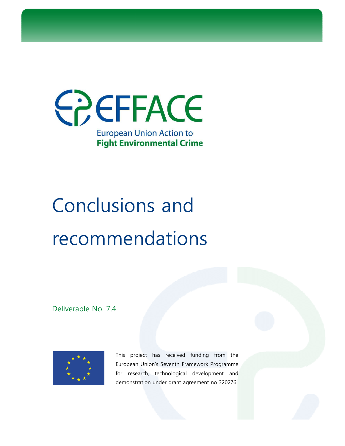

# Conclusions and recommendations

Deliverable No. 7.4



This project has received funding from the European Union's Seventh Framework Programme for research, technological development and demonstration under grant agreement no 320276. This project has received funding from the<br>European-Union's-Seventh-Framework-Programme<br>for research, technological development anc<br>demonstration-under-grant-agreement-no-320276.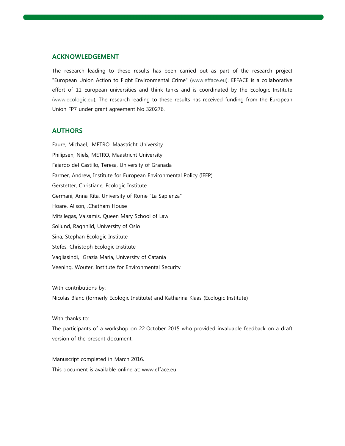#### **ACKNOWLEDGEMENT**

The research leading to these results has been carried out as part of the research project "European Union Action to Fight Environmental Crime" (www.efface.eu). EFFACE is a collaborative The research leading to these results has been carried out as part of the research project<br>"European Union Action to Fight Environmental Crime" (www.efface.eu). EFFACE is a collaborative<br>effort of 11 European universities (www.ecologic.eu). The research leading to these results has received funding from the European ). Union FP7 under grant agreement No 320276.

#### **AUTHORS**

Faure, Michael, METRO, Maastricht University Philipsen, Niels, METRO, Maastricht University Fajardo del Castillo, Teresa, University of Granada Farmer, Andrew, Institute for European Environmental Policy (IEEP) Gerstetter, Christiane, Ecologic Institute Germani, Anna Rita, University of Rome "La Sapienza" Hoare, Alison, .Chatham House Germani, Anna Rita, University of Rome "La Sapi<br>Hoare, Alison, .Chatham House<br>Mitsilegas, Valsamis, Queen Mary School of Law Sollund, Ragnhild, University of Oslo Sina, Stephan Ecologic Institute Stefes, Christoph Ecologic Institute Vagliasindi, Grazia Maria, University of Catania Veening, Wouter, Institute for Environmental Security igic.eu). The research leadin<br>under grant agreement No<br>**S**<br>ael, METRO, Maastricht Uni<br>liels, METRO, Maastricht Uni<br>Castillo, Teresa, University c<br>drew, Institute for European<br>Christiane, Ecologic Institute

With contributions by:

Nicolas Blanc (formerly Ecologic Institute) and Katharina Klaas (Ecologic Institute)

With thanks to:

The participants of a workshop on 22 October 2015 who provided invaluable feedback on a draft version of the present document.

Manuscript completed in March 2016. This document is available online at: www.efface.eu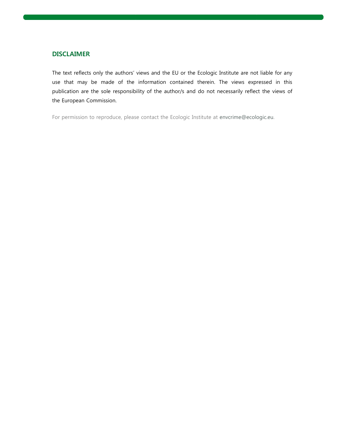#### **DISCLAIMER**

The text reflects only the authors' views and the EU or the Ecologic Institute are not liable for any use that may be made of the information contained therein. The views expressed in this publication are the sole responsibility of the author/s and do not necessarily reflect the views of the European Commission. only the authors' views and the EU or the Ecologic Institute are not liable f<br>pe made of the information contained therein. The views expressed is<br>he sole responsibility of the author/s and do not necessarily reflect the v

For permission to reproduce, please contact the Ecologic Institute at envcrime@ecologic.eu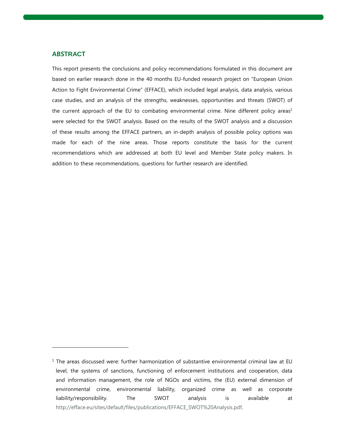#### **ABSTRACT**

-

This report presents the conclusions and policy recommendations formulated in this document are based on earlier research done in the 40 months EU-funded research project on "European Union Action to Fight Environmental Crime" (EFFACE), which included legal analysis, data analysis, various case studies, and an analysis of the strengths, weaknesses, opportunities and threats (SWOT) of the current approach of the EU to combating environmental crime. Nine different policy areas<sup>1</sup> were selected for the SWOT analysis. Based on the results of the SWOT analysis and a discussion of these results among the EFFACE partners, an in-depth analysis of possible policy options was made for each of the nine areas. Those reports constitute the basis for the current recommendations which are addressed at both EU level and Member State policy makers. In recommendations which are addressed at both EU level and Member State<br>addition to these recommendations, questions for further research are identified. to Fight Environmental Crime" (EFFACE), which included legal analysis, data analysis, various<br>udies, and an analysis of the strengths, weaknesses, opportunities and threats (SWOT) of<br>rent approach of the EU to combating en This report presents the conclusions and policy recommendations formulated in this document are<br>based on earlier research done in the 40 months EU-funded research project on "European Union<br>Action to Fight Environmental Cr were selected for the SWOT analysis. Based on the results of the SWOT analysis and a discussion<br>of these results among the FFACF patners, an in-depth analysis of possible policy options was<br>for due for each of the nine are

<sup>&</sup>lt;sup>1</sup> The areas discussed were: further harmonization of substantive environmental criminal law at EU level, the systems of sanctions, functioning of enforcement institutions and cooperation, data The areas discussed were: further harmonization of substantive environmental criminal law at EU<br>level, the systems of sanctions, functioning of enforcement institutions and cooperation, data<br>and information management, the environmental crime, environmental liability, organized crime as well as corporate liability/responsibility. The SWOT analysis is available at http://efface.eu/sites/default/files/publications/EFFACE\_SWOT%20Analysis.pdf http://efface.eu/sites/default/files/publications/EFFACE\_SWOT%20Analysis.pdf.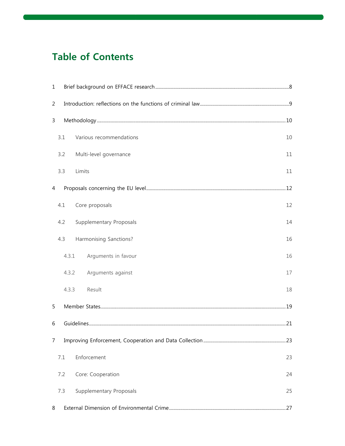# **Table of Contents**

| 1              |       |                                |    |  |  |
|----------------|-------|--------------------------------|----|--|--|
| $\overline{2}$ |       |                                |    |  |  |
| 3              |       |                                |    |  |  |
|                | 3.1   | Various recommendations        | 10 |  |  |
|                | 3.2   | Multi-level governance         | 11 |  |  |
|                | 3.3   | Limits                         | 11 |  |  |
| 4              |       |                                |    |  |  |
|                | 4.1   | Core proposals                 | 12 |  |  |
|                | 4.2   | <b>Supplementary Proposals</b> | 14 |  |  |
|                | 4.3   | Harmonising Sanctions?         | 16 |  |  |
|                | 4.3.1 | Arguments in favour            | 16 |  |  |
|                | 4.3.2 | Arguments against              | 17 |  |  |
|                | 4.3.3 | Result                         | 18 |  |  |
| 5              |       |                                |    |  |  |
| 6              |       |                                |    |  |  |
| 7              |       |                                |    |  |  |
|                | 7.1   | Enforcement                    | 23 |  |  |
|                | 7.2   | Core: Cooperation              | 24 |  |  |
|                | 7.3   | Supplementary Proposals        | 25 |  |  |
| 8              |       |                                |    |  |  |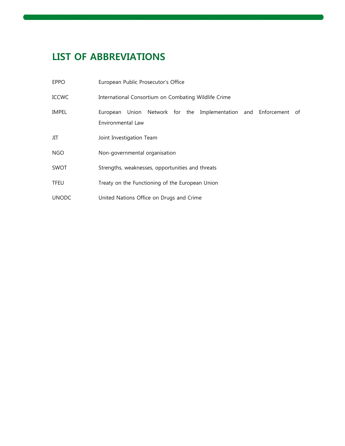# LIST OF ABBREVIATIONS

| <b>EPPO</b>  | European Public Prosecutor's Office                                                   |
|--------------|---------------------------------------------------------------------------------------|
| <b>ICCWC</b> | International Consortium on Combating Wildlife Crime                                  |
| <b>IMPEL</b> | European Union Network for the Implementation and Enforcement of<br>Environmental Law |
| JIT          | Joint Investigation Team                                                              |
| <b>NGO</b>   | Non-governmental organisation                                                         |
| <b>SWOT</b>  | Strengths, weaknesses, opportunities and threats                                      |
| <b>TFEU</b>  | Treaty on the Functioning of the European Union                                       |
| <b>UNODC</b> | United Nations Office on Drugs and Crime                                              |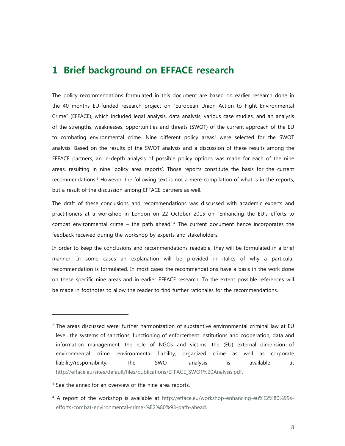## **1 Brief background on EFFACE research**

The policy recommendations formulated in this document are based on earlier research done in the 40 months EU-funded research project on "European Union Action to Fight Environmental Crime" (EFFACE), which included legal analysis, data analysis, various case studies, and an analysis of the strengths, weaknesses, opportunities and threats (SWOT) of the current approach of the EU to combating environmental crime. Nine different policy areas<sup>2</sup> were selected for the SWOT analysis. Based on the results of the SWOT analysis and a discussion of these results among the EFFACE partners, an in-depth analysis of possible policy options was made for each of the nine areas, resulting in nine 'policy area reports'. Those reports constitute the basis for the current recommendations.<sup>3</sup> However, the following text is not a mere compilation of what is in the reports, but a result of the discussion among EFFACE partners as well.

The draft of these conclusions and recommendations was discussed with academic experts and practitioners at a workshop in London on 22 October 2015 on "Enhancing the EU's efforts to combat environmental crime – the path ahead".<sup>4</sup> The current document hence incorporates the feedback received during the workshop by experts and stakeholders.

In order to keep the conclusions and recommendations readable, they will be formulated in a brief manner. In some cases an explanation will be provided in italics of why a particular recommendation is formulated. In most cases the recommendations have a basis in the work done on these specific nine areas and in earlier EFFACE research. To the extent possible references will be made in footnotes to allow the reader to find further rationales for the recommendations.

 $^2$  The areas discussed were: further harmonization of substantive environmental criminal law at EU level, the systems of sanctions, functioning of enforcement institutions and cooperation, data and information management, the role of NGOs and victims, the (EU) external dimension of environmental crime, environmental liability, organized crime as well as corporate liability/responsibility. The SWOT analysis is available at http://efface.eu/sites/default/files/publications/EFFACE\_SWOT%20Analysis.pdf.

<sup>&</sup>lt;sup>3</sup> See the annex for an overview of the nine area reports.

<sup>4</sup> A report of the workshop is available at http://efface.eu/workshop-enhancing-eu%E2%80%99sefforts-combat-environmental-crime-%E2%80%93-path-ahead.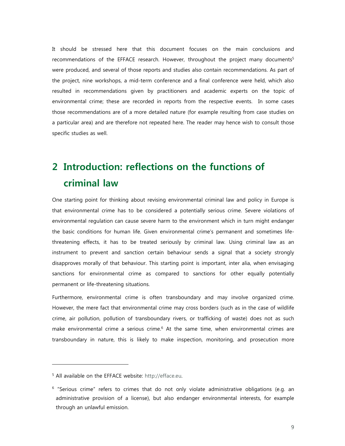It should be stressed here that this document focuses on the main conclusions and recommendations of the EFFACE research. However, throughout the project many documents<sup>5</sup> were produced, and several of those reports and studies also contain recommendations. As part of the project, nine workshops, a mid-term conference and a final conference were held, which also resulted in recommendations given by practitioners and academic experts on the topic of environmental crime; these are recorded in reports from the respective events. In some cases those recommendations are of a more detailed nature (for example resulting from case studies on a particular area) and are therefore not repeated here. The reader may hence wish to consult those specific studies as well.

# **2 Introduction: reflections on the functions of criminal law**

One starting point for thinking about revising environmental criminal law and policy in Europe is that environmental crime has to be considered a potentially serious crime. Severe violations of environmental regulation can cause severe harm to the environment which in turn might endanger the basic conditions for human life. Given environmental crime's permanent and sometimes lifethreatening effects, it has to be treated seriously by criminal law. Using criminal law as an instrument to prevent and sanction certain behaviour sends a signal that a society strongly disapproves morally of that behaviour. This starting point is important, inter alia, when envisaging sanctions for environmental crime as compared to sanctions for other equally potentially permanent or life-threatening situations.

Furthermore, environmental crime is often transboundary and may involve organized crime. However, the mere fact that environmental crime may cross borders (such as in the case of wildlife crime, air pollution, pollution of transboundary rivers, or trafficking of waste) does not as such make environmental crime a serious crime.<sup>6</sup> At the same time, when environmental crimes are transboundary in nature, this is likely to make inspection, monitoring, and prosecution more

<sup>&</sup>lt;sup>5</sup> All available on the EFFACE website: http://efface.eu.

<sup>&</sup>lt;sup>6</sup> "Serious crime" refers to crimes that do not only violate administrative obligations (e.g. an administrative provision of a license), but also endanger environmental interests, for example through an unlawful emission.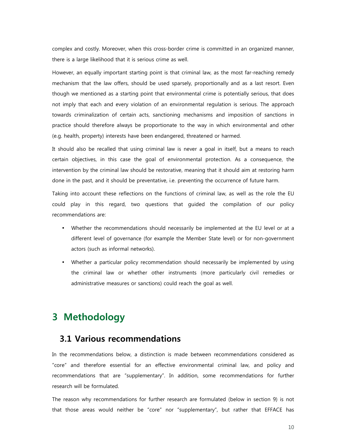complex and costly. Moreover, when this cross-border crime is committed in an organized manner, there is a large likelihood that it is serious crime as well.

However, an equally important starting point is that criminal law, as the most far-reaching remedy mechanism that the law offers, should be used sparsely, proportionally and as a last resort. Even though we mentioned as a starting point that environmental crime is potentially serious, that does not imply that each and every violation of an environmental regulation is serious. The approach towards criminalization of certain acts, sanctioning mechanisms and imposition of sanctions in practice should therefore always be proportionate to the way in which environmental and other (e.g. health, property) interests have been endangered, threatened or harmed.

It should also be recalled that using criminal law is never a goal in itself, but a means to reach certain objectives, in this case the goal of environmental protection. As a consequence, the intervention by the criminal law should be restorative, meaning that it should aim at restoring harm done in the past, and it should be preventative, i.e. preventing the occurrence of future harm.

Taking into account these reflections on the functions of criminal law, as well as the role the EU could play in this regard, two questions that guided the compilation of our policy recommendations are:

- Whether the recommendations should necessarily be implemented at the EU level or at a different level of governance (for example the Member State level) or for non-government actors (such as informal networks).
- Whether a particular policy recommendation should necessarily be implemented by using the criminal law or whether other instruments (more particularly civil remedies or administrative measures or sanctions) could reach the goal as well.

# **3 Methodology**

## **3.1 Various recommendations**

In the recommendations below, a distinction is made between recommendations considered as "core" and therefore essential for an effective environmental criminal law, and policy and recommendations that are "supplementary". In addition, some recommendations for further research will be formulated.

The reason why recommendations for further research are formulated (below in section 9) is not that those areas would neither be "core" nor "supplementary", but rather that EFFACE has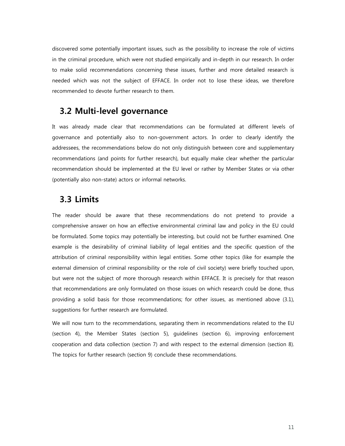discovered some potentially important issues, such as the possibility to increase the role of victims in the criminal procedure, which were not studied empirically and in-depth in our research. In order to make solid recommendations concerning these issues, further and more detailed research is needed which was not the subject of EFFACE. In order not to lose these ideas, we therefore recommended to devote further research to them.

## **3.2 Multi-level governance**

It was already made clear that recommendations can be formulated at different levels of governance and potentially also to non-government actors. In order to clearly identify the addressees, the recommendations below do not only distinguish between core and supplementary recommendations (and points for further research), but equally make clear whether the particular recommendation should be implemented at the EU level or rather by Member States or via other (potentially also non-state) actors or informal networks.

## **3.3 Limits**

The reader should be aware that these recommendations do not pretend to provide a comprehensive answer on how an effective environmental criminal law and policy in the EU could be formulated. Some topics may potentially be interesting, but could not be further examined. One example is the desirability of criminal liability of legal entities and the specific question of the attribution of criminal responsibility within legal entities. Some other topics (like for example the external dimension of criminal responsibility or the role of civil society) were briefly touched upon, but were not the subject of more thorough research within EFFACE. It is precisely for that reason that recommendations are only formulated on those issues on which research could be done, thus providing a solid basis for those recommendations; for other issues, as mentioned above (3.1), suggestions for further research are formulated.

We will now turn to the recommendations, separating them in recommendations related to the EU (section 4), the Member States (section 5), guidelines (section 6), improving enforcement cooperation and data collection (section 7) and with respect to the external dimension (section 8). The topics for further research (section 9) conclude these recommendations.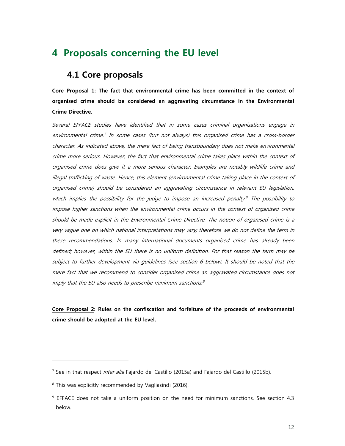# **4 Proposals concerning the EU level**

## **4.1 Core proposals**

**Core Proposal 1: The fact that environmental crime has been committed in the context of organised crime should be considered an aggravating circumstance in the Environmental Crime Directive.** 

Several EFFACE studies have identified that in some cases criminal organisations engage in environmental crime. 7 In some cases (but not always) this organised crime has a cross-border character. As indicated above, the mere fact of being transboundary does not make environmental crime more serious. However, the fact that environmental crime takes place within the context of organised crime does give it a more serious character. Examples are notably wildlife crime and illegal trafficking of waste. Hence, this element (environmental crime taking place in the context of organised crime) should be considered an aggravating circumstance in relevant EU legislation, which implies the possibility for the judge to impose an increased penalty.<sup>8</sup> The possibility to impose higher sanctions when the environmental crime occurs in the context of organised crime should be made explicit in the Environmental Crime Directive. The notion of organised crime is a very vague one on which national interpretations may vary; therefore we do not define the term in these recommendations. In many international documents organised crime has already been defined; however, within the EU there is no uniform definition. For that reason the term may be subject to further development via guidelines (see section 6 below). It should be noted that the mere fact that we recommend to consider organised crime an aggravated circumstance does not imply that the EU also needs to prescribe minimum sanctions. 9

## **Core Proposal 2: Rules on the confiscation and forfeiture of the proceeds of environmental crime should be adopted at the EU level.**

<sup>&</sup>lt;sup>7</sup> See in that respect *inter alia* Fajardo del Castillo (2015a) and Fajardo del Castillo (2015b).

<sup>8</sup> This was explicitly recommended by Vagliasindi (2016).

<sup>9</sup> EFFACE does not take a uniform position on the need for minimum sanctions. See section 4.3 below.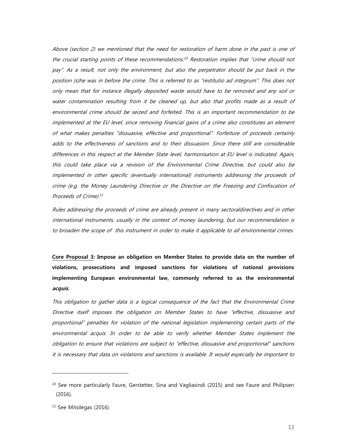Above (section 2) we mentioned that the need for restoration of harm done in the past is one of the crucial starting points of these recommendations.<sup>10</sup> Restoration implies that "crime should not pay". As a result, not only the environment, but also the perpetrator should be put back in the position (s)he was in before the crime. This is referred to as "restitutio ad integrum". This does not only mean that for instance illegally deposited waste would have to be removed and any soil or water contamination resulting from it be cleaned up, but also that profits made as a result of environmental crime should be seized and forfeited. This is an important recommendation to be implemented at the EU level, since removing financial gains of a crime also constitutes an element of what makes penalties "dissuasive, effective and proportional". Forfeiture of proceeds certainly adds to the effectiveness of sanctions and to their dissuasion. Since there still are considerable differences in this respect at the Member State level, harmonisation at EU level is indicated. Again, this could take place via a revision of the Environmental Crime Directive, but could also be implemented in other specific (eventually international) instruments addressing the proceeds of crime (e.g. the Money Laundering Directive or the Directive on the Freezing and Confiscation of Proceeds of Crime). 11

Rules addressing the proceeds of crime are already present in many sectoraldirectives and in other international instruments, usually in the context of money laundering, but our recommendation is to broaden the scope of this instrument in order to make it applicable to all environmental crimes.

**Core Proposal 3: Impose an obligation on Member States to provide data on the number of violations, prosecutions and imposed sanctions for violations of national provisions implementing European environmental law, commonly referred to as the environmental acquis.** 

This obligation to gather data is a logical consequence of the fact that the Environmental Crime Directive itself imposes the obligation on Member States to have "effective, dissuasive and proportional" penalties for violation of the national legislation implementing certain parts of the environmental acquis. In order to be able to verify whether Member States implement the obligation to ensure that violations are subject to "effective, dissuasive and proportional" sanctions it is necessary that data on violations and sanctions is available. It would especially be important to

<sup>&</sup>lt;sup>10</sup> See more particularly Faure, Gerstetter, Sina and Vagliasindi (2015) and see Faure and Philipsen (2016).

<sup>&</sup>lt;sup>11</sup> See Mitsilegas (2016).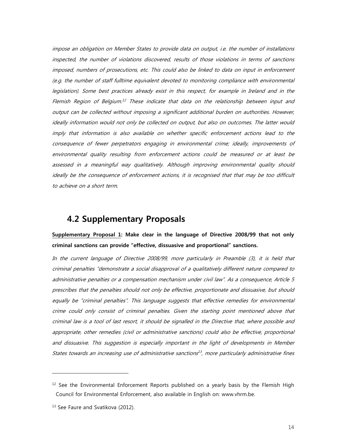impose an obligation on Member States to provide data on output, i.e. the number of installations inspected, the number of violations discovered, results of those violations in terms of sanctions imposed, numbers of prosecutions, etc. This could also be linked to data on input in enforcement (e.g. the number of staff fulltime equivalent devoted to monitoring compliance with environmental legislation). Some best practices already exist in this respect, for example in Ireland and in the Flemish Region of Belgium.<sup>12</sup> These indicate that data on the relationship between input and output can be collected without imposing a significant additional burden on authorities. However, ideally information would not only be collected on output, but also on outcomes. The latter would imply that information is also available on whether specific enforcement actions lead to the consequence of fewer perpetrators engaging in environmental crime; ideally, improvements of environmental quality resulting from enforcement actions could be measured or at least be assessed in a meaningful way qualitatively. Although improving environmental quality should ideally be the consequence of enforcement actions, it is recognised that that may be too difficult to achieve on a short term.

## **4.2 Supplementary Proposals**

**Supplementary Proposal 1: Make clear in the language of Directive 2008/99 that not only criminal sanctions can provide "effective, dissuasive and proportional" sanctions.** 

In the current language of Directive 2008/99, more particularly in Preamble (3), it is held that criminal penalties "demonstrate a social disapproval of a qualitatively different nature compared to administrative penalties or a compensation mechanism under civil law". As a consequence, Article 5 prescribes that the penalties should not only be effective, proportionate and dissuasive, but should equally be "criminal penalties". This language suggests that effective remedies for environmental crime could only consist of criminal penalties. Given the starting point mentioned above that criminal law is a tool of last resort, it should be signalled in the Directive that, where possible and appropriate, other remedies (civil or administrative sanctions) could also be effective, proportional and dissuasive. This suggestion is especially important in the light of developments in Member States towards an increasing use of administrative sanctions 13 , more particularly administrative fines

 $12$  See the Environmental Enforcement Reports published on a yearly basis by the Flemish High Council for Environmental Enforcement, also available in English on: www.vhrm.be.

<sup>&</sup>lt;sup>13</sup> See Faure and Svatikova (2012).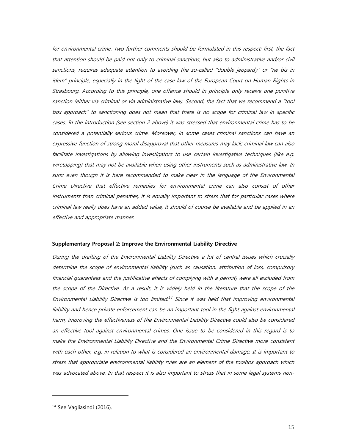for environmental crime. Two further comments should be formulated in this respect: first, the fact that attention should be paid not only to criminal sanctions, but also to administrative and/or civil sanctions, requires adequate attention to avoiding the so-called "double jeopardy" or "ne bis in idem" principle, especially in the light of the case law of the European Court on Human Rights in Strasbourg. According to this principle, one offence should in principle only receive one punitive sanction (either via criminal or via administrative law). Second, the fact that we recommend a "tool box approach" to sanctioning does not mean that there is no scope for criminal law in specific cases. In the introduction (see section 2 above) it was stressed that environmental crime has to be considered a potentially serious crime. Moreover, in some cases criminal sanctions can have an expressive function of strong moral disapproval that other measures may lack; criminal law can also facilitate investigations by allowing investigators to use certain investigative techniques (like e.g. wiretapping) that may not be available when using other instruments such as administrative law. In sum: even though it is here recommended to make clear in the language of the Environmental Crime Directive that effective remedies for environmental crime can also consist of other instruments than criminal penalties, it is equally important to stress that for particular cases where criminal law really does have an added value, it should of course be available and be applied in an effective and appropriate manner.

#### **Supplementary Proposal 2: Improve the Environmental Liability Directive**

During the drafting of the Environmental Liability Directive a lot of central issues which crucially determine the scope of environmental liability (such as causation, attribution of loss, compulsory financial guarantees and the justificative effects of complying with a permit) were all excluded from the scope of the Directive. As a result, it is widely held in the literature that the scope of the Environmental Liability Directive is too limited.<sup>14</sup> Since it was held that improving environmental liability and hence private enforcement can be an important tool in the fight against environmental harm, improving the effectiveness of the Environmental Liability Directive could also be considered an effective tool against environmental crimes. One issue to be considered in this regard is to make the Environmental Liability Directive and the Environmental Crime Directive more consistent with each other, e.g. in relation to what is considered an environmental damage. It is important to stress that appropriate environmental liability rules are an element of the toolbox approach which was advocated above. In that respect it is also important to stress that in some legal systems non-

<sup>&</sup>lt;sup>14</sup> See Vagliasindi (2016).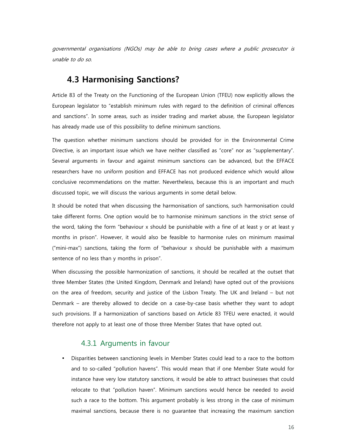governmental organisations (NGOs) may be able to bring cases where a public prosecutor is unable to do so.

## **4.3 Harmonising Sanctions?**

Article 83 of the Treaty on the Functioning of the European Union (TFEU) now explicitly allows the European legislator to "establish minimum rules with regard to the definition of criminal offences and sanctions". In some areas, such as insider trading and market abuse, the European legislator has already made use of this possibility to define minimum sanctions.

The question whether minimum sanctions should be provided for in the Environmental Crime Directive, is an important issue which we have neither classified as "core" nor as "supplementary". Several arguments in favour and against minimum sanctions can be advanced, but the EFFACE researchers have no uniform position and EFFACE has not produced evidence which would allow conclusive recommendations on the matter. Nevertheless, because this is an important and much discussed topic, we will discuss the various arguments in some detail below.

It should be noted that when discussing the harmonisation of sanctions, such harmonisation could take different forms. One option would be to harmonise minimum sanctions in the strict sense of the word, taking the form "behaviour x should be punishable with a fine of at least y or at least y months in prison". However, it would also be feasible to harmonise rules on minimum maximal ("mini-max") sanctions, taking the form of "behaviour x should be punishable with a maximum sentence of no less than y months in prison".

When discussing the possible harmonization of sanctions, it should be recalled at the outset that three Member States (the United Kingdom, Denmark and Ireland) have opted out of the provisions on the area of freedom, security and justice of the Lisbon Treaty. The UK and Ireland – but not Denmark – are thereby allowed to decide on a case-by-case basis whether they want to adopt such provisions. If a harmonization of sanctions based on Article 83 TFEU were enacted, it would therefore not apply to at least one of those three Member States that have opted out.

#### 4.3.1 Arguments in favour

• Disparities between sanctioning levels in Member States could lead to a race to the bottom and to so-called "pollution havens". This would mean that if one Member State would for instance have very low statutory sanctions, it would be able to attract businesses that could relocate to that "pollution haven". Minimum sanctions would hence be needed to avoid such a race to the bottom. This argument probably is less strong in the case of minimum maximal sanctions, because there is no guarantee that increasing the maximum sanction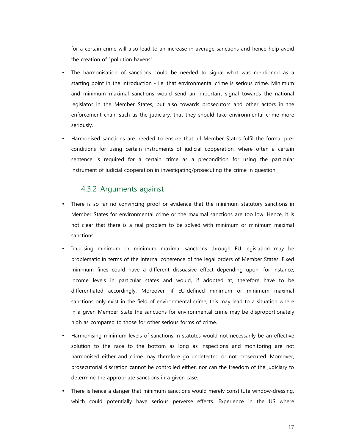for a certain crime will also lead to an increase in average sanctions and hence help avoid the creation of "pollution havens".

- The harmonisation of sanctions could be needed to signal what was mentioned as a starting point in the introduction - i.e. that environmental crime is serious crime. Minimum and minimum maximal sanctions would send an important signal towards the national legislator in the Member States, but also towards prosecutors and other actors in the enforcement chain such as the judiciary, that they should take environmental crime more seriously.
- Harmonised sanctions are needed to ensure that all Member States fulfil the formal preconditions for using certain instruments of judicial cooperation, where often a certain sentence is required for a certain crime as a precondition for using the particular instrument of judicial cooperation in investigating/prosecuting the crime in question.

#### 4.3.2 Arguments against

- There is so far no convincing proof or evidence that the minimum statutory sanctions in Member States for environmental crime or the maximal sanctions are too low. Hence, it is not clear that there is a real problem to be solved with minimum or minimum maximal sanctions.
- Imposing minimum or minimum maximal sanctions through EU legislation may be problematic in terms of the internal coherence of the legal orders of Member States. Fixed minimum fines could have a different dissuasive effect depending upon, for instance, income levels in particular states and would, if adopted at, therefore have to be differentiated accordingly. Moreover, if EU-defined minimum or minimum maximal sanctions only exist in the field of environmental crime, this may lead to a situation where in a given Member State the sanctions for environmental crime may be disproportionately high as compared to those for other serious forms of crime.
- Harmonising minimum levels of sanctions in statutes would not necessarily be an effective solution to the race to the bottom as long as inspections and monitoring are not harmonised either and crime may therefore go undetected or not prosecuted. Moreover, prosecutorial discretion cannot be controlled either, nor can the freedom of the judiciary to determine the appropriate sanctions in a given case.
- There is hence a danger that minimum sanctions would merely constitute window-dressing, which could potentially have serious perverse effects. Experience in the US where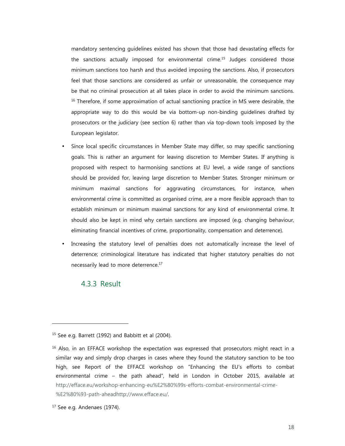mandatory sentencing guidelines existed has shown that those had devastating effects for the sanctions actually imposed for environmental crime.<sup>15</sup> Judges considered those minimum sanctions too harsh and thus avoided imposing the sanctions. Also, if prosecutors feel that those sanctions are considered as unfair or unreasonable, the consequence may be that no criminal prosecution at all takes place in order to avoid the minimum sanctions. <sup>16</sup> Therefore, if some approximation of actual sanctioning practice in MS were desirable, the appropriate way to do this would be via bottom-up non-binding guidelines drafted by prosecutors or the judiciary (see section 6) rather than via top-down tools imposed by the European legislator.

- Since local specific circumstances in Member State may differ, so may specific sanctioning goals. This is rather an argument for leaving discretion to Member States. If anything is proposed with respect to harmonising sanctions at EU level, a wide range of sanctions should be provided for, leaving large discretion to Member States. Stronger minimum or minimum maximal sanctions for aggravating circumstances, for instance, when environmental crime is committed as organised crime, are a more flexible approach than to establish minimum or minimum maximal sanctions for any kind of environmental crime. It should also be kept in mind why certain sanctions are imposed (e.g. changing behaviour, eliminating financial incentives of crime, proportionality, compensation and deterrence).
- Increasing the statutory level of penalties does not automatically increase the level of deterrence; criminological literature has indicated that higher statutory penalties do not necessarily lead to more deterrence.<sup>17</sup>

#### 4.3.3 Result

<sup>15</sup> See e.g. Barrett (1992) and Babbitt et al (2004).

<sup>&</sup>lt;sup>16</sup> Also, in an EFFACE workshop the expectation was expressed that prosecutors might react in a similar way and simply drop charges in cases where they found the statutory sanction to be too high, see Report of the EFFACE workshop on "Enhancing the EU's efforts to combat environmental crime – the path ahead", held in London in October 2015, available at http://efface.eu/workshop-enhancing-eu%E2%80%99s-efforts-combat-environmental-crime- %E2%80%93-path-aheadhttp://www.efface.eu/.

<sup>&</sup>lt;sup>17</sup> See e.g. Andenaes (1974).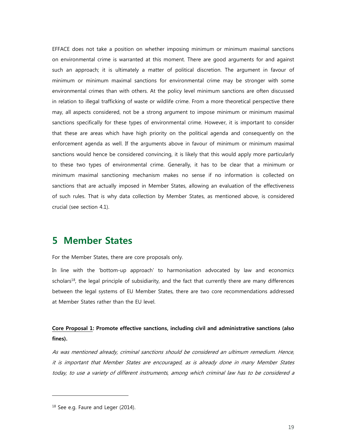EFFACE does not take a position on whether imposing minimum or minimum maximal sanctions on environmental crime is warranted at this moment. There are good arguments for and against such an approach; it is ultimately a matter of political discretion. The argument in favour of minimum or minimum maximal sanctions for environmental crime may be stronger with some environmental crimes than with others. At the policy level minimum sanctions are often discussed in relation to illegal trafficking of waste or wildlife crime. From a more theoretical perspective there may, all aspects considered, not be a strong argument to impose minimum or minimum maximal sanctions specifically for these types of environmental crime. However, it is important to consider that these are areas which have high priority on the political agenda and consequently on the enforcement agenda as well. If the arguments above in favour of minimum or minimum maximal sanctions would hence be considered convincing, it is likely that this would apply more particularly to these two types of environmental crime. Generally, it has to be clear that a minimum or minimum maximal sanctioning mechanism makes no sense if no information is collected on sanctions that are actually imposed in Member States, allowing an evaluation of the effectiveness of such rules. That is why data collection by Member States, as mentioned above, is considered crucial (see section 4.1).

## **5 Member States**

For the Member States, there are core proposals only.

In line with the 'bottom-up approach' to harmonisation advocated by law and economics scholars<sup>18</sup>, the legal principle of subsidiarity, and the fact that currently there are many differences between the legal systems of EU Member States, there are two core recommendations addressed at Member States rather than the EU level.

## **Core Proposal 1: Promote effective sanctions, including civil and administrative sanctions (also fines).**

As was mentioned already, criminal sanctions should be considered an ultimum remedium. Hence, it is important that Member States are encouraged, as is already done in many Member States today, to use a variety of different instruments, among which criminal law has to be considered a

<sup>&</sup>lt;sup>18</sup> See e.g. Faure and Leger (2014).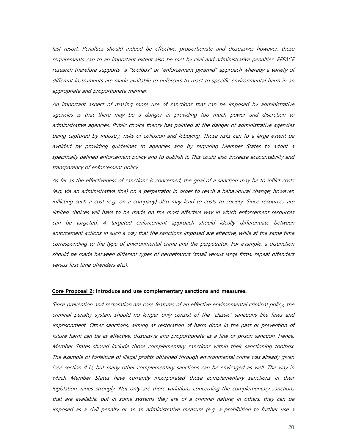last resort. Penalties should indeed be effective, proportionate and dissuasive; however, these requirements can to an important extent also be met by civil and administrative penalties. EFFACE research therefore supports a "toolbox" or "enforcement pyramid" approach whereby a variety of different instruments are made available to enforcers to react to specific environmental harm in an appropriate and proportionate manner.

An important aspect of making more use of sanctions that can be imposed by administrative agencies is that there may be a danger in providing too much power and discretion to administrative agencies. Public choice theory has pointed at the danger of administrative agencies being captured by industry, risks of collusion and lobbying. Those risks can to a large extent be avoided by providing guidelines to agencies and by requiring Member States to adopt a specifically defined enforcement policy and to publish it. This could also increase accountability and transparency of enforcement policy.

As far as the effectiveness of sanctions is concerned, the goal of a sanction may be to inflict costs (e.g. via an administrative fine) on a perpetrator in order to reach a behavioural change; however, inflicting such a cost (e.g. on a company) also may lead to costs to society. Since resources are limited choices will have to be made on the most effective way in which enforcement resources can be targeted. A targeted enforcement approach should ideally differentiate between enforcement actions in such a way that the sanctions imposed are effective, while at the same time corresponding to the type of environmental crime and the perpetrator. For example, a distinction should be made between different types of perpetrators (small versus large firms, repeat offenders versus first time offenders etc.).

#### **Core Proposal 2: Introduce and use complementary sanctions and measures.**

Since prevention and restoration are core features of an effective environmental criminal policy, the criminal penalty system should no longer only consist of the "classic" sanctions like fines and imprisonment. Other sanctions, aiming at restoration of harm done in the past or prevention of future harm can be as effective, dissuasive and proportionate as a fine or prison sanction. Hence, Member States should include those complementary sanctions within their sanctioning toolbox. The example of forfeiture of illegal profits obtained through environmental crime was already given (see section 4.1), but many other complementary sanctions can be envisaged as well. The way in which Member States have currently incorporated those complementary sanctions in their legislation varies strongly. Not only are there variations concerning the complementary sanctions that are available, but in some systems they are of a criminal nature; in others, they can be imposed as a civil penalty or as an administrative measure (e.g. a prohibition to further use a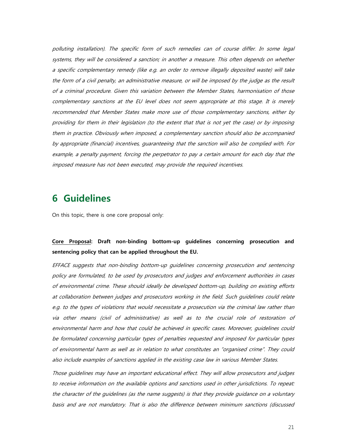polluting installation). The specific form of such remedies can of course differ. In some legal systems, they will be considered a sanction; in another a measure. This often depends on whether a specific complementary remedy (like e.g. an order to remove illegally deposited waste) will take the form of a civil penalty, an administrative measure, or will be imposed by the judge as the result of a criminal procedure. Given this variation between the Member States, harmonisation of those complementary sanctions at the EU level does not seem appropriate at this stage. It is merely recommended that Member States make more use of those complementary sanctions, either by providing for them in their legislation (to the extent that that is not yet the case) or by imposing them in practice. Obviously when imposed, a complementary sanction should also be accompanied by appropriate (financial) incentives, guaranteeing that the sanction will also be complied with. For example, a penalty payment, forcing the perpetrator to pay a certain amount for each day that the imposed measure has not been executed, may provide the required incentives.

## **6 Guidelines**

On this topic, there is one core proposal only:

## **Core Proposal: Draft non-binding bottom-up guidelines concerning prosecution and sentencing policy that can be applied throughout the EU.**

EFFACE suggests that non-binding bottom-up guidelines concerning prosecution and sentencing policy are formulated, to be used by prosecutors and judges and enforcement authorities in cases of environmental crime. These should ideally be developed bottom-up, building on existing efforts at collaboration between judges and prosecutors working in the field. Such guidelines could relate e.g. to the types of violations that would necessitate a prosecution via the criminal law rather than via other means (civil of administrative) as well as to the crucial role of restoration of environmental harm and how that could be achieved in specific cases. Moreover, guidelines could be formulated concerning particular types of penalties requested and imposed for particular types of environmental harm as well as in relation to what constitutes an "organised crime". They could also include examples of sanctions applied in the existing case law in various Member States.

Those guidelines may have an important educational effect. They will allow prosecutors and judges to receive information on the available options and sanctions used in other jurisdictions. To repeat: the character of the guidelines (as the name suggests) is that they provide guidance on a voluntary basis and are not mandatory. That is also the difference between minimum sanctions (discussed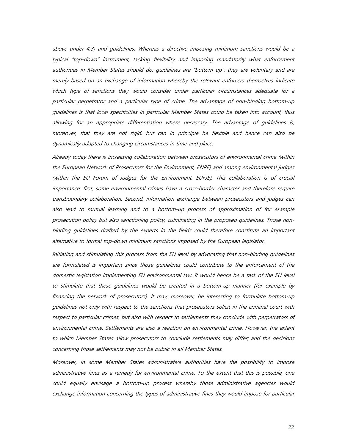above under 4.3) and guidelines. Whereas a directive imposing minimum sanctions would be a typical "top-down" instrument, lacking flexibility and imposing mandatorily what enforcement authorities in Member States should do, guidelines are "bottom up": they are voluntary and are merely based on an exchange of information whereby the relevant enforcers themselves indicate which type of sanctions they would consider under particular circumstances adequate for a particular perpetrator and a particular type of crime. The advantage of non-binding bottom-up guidelines is that local specificities in particular Member States could be taken into account, thus allowing for an appropriate differentiation where necessary. The advantage of guidelines is, moreover, that they are not rigid, but can in principle be flexible and hence can also be dynamically adapted to changing circumstances in time and place.

Already today there is increasing collaboration between prosecutors of environmental crime (within the European Network of Prosecutors for the Environment, ENPE) and among environmental judges (within the EU Forum of Judges for the Environment, EUFJE). This collaboration is of crucial importance: first, some environmental crimes have a cross-border character and therefore require transboundary collaboration. Second, information exchange between prosecutors and judges can also lead to mutual learning and to a bottom-up process of approximation of for example prosecution policy but also sanctioning policy, culminating in the proposed guidelines. Those nonbinding guidelines drafted by the experts in the fields could therefore constitute an important alternative to formal top-down minimum sanctions imposed by the European legislator.

Initiating and stimulating this process from the EU level by advocating that non-binding guidelines are formulated is important since those guidelines could contribute to the enforcement of the domestic legislation implementing EU environmental law. It would hence be a task of the EU level to stimulate that these guidelines would be created in a bottom-up manner (for example by financing the network of prosecutors). It may, moreover, be interesting to formulate bottom-up guidelines not only with respect to the sanctions that prosecutors solicit in the criminal court with respect to particular crimes, but also with respect to settlements they conclude with perpetrators of environmental crime. Settlements are also a reaction on environmental crime. However, the extent to which Member States allow prosecutors to conclude settlements may differ; and the decisions concerning those settlements may not be public in all Member States.

Moreover, in some Member States administrative authorities have the possibility to impose administrative fines as a remedy for environmental crime. To the extent that this is possible, one could equally envisage a bottom-up process whereby those administrative agencies would exchange information concerning the types of administrative fines they would impose for particular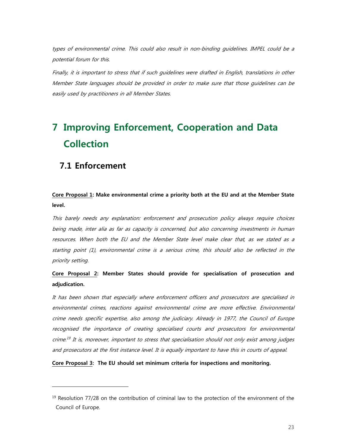types of environmental crime. This could also result in non-binding guidelines. IMPEL could be a potential forum for this.

Finally, it is important to stress that if such guidelines were drafted in English, translations in other Member State languages should be provided in order to make sure that those guidelines can be easily used by practitioners in all Member States.

# **7 Improving Enforcement, Cooperation and Data Collection**

## **7.1 Enforcement**

-

## **Core Proposal 1: Make environmental crime a priority both at the EU and at the Member State level.**

This barely needs any explanation: enforcement and prosecution policy always require choices being made, inter alia as far as capacity is concerned, but also concerning investments in human resources. When both the EU and the Member State level make clear that, as we stated as a starting point (1), environmental crime is a serious crime, this should also be reflected in the priority setting.

## **Core Proposal 2: Member States should provide for specialisation of prosecution and adjudication.**

It has been shown that especially where enforcement officers and prosecutors are specialised in environmental crimes, reactions against environmental crime are more effective. Environmental crime needs specific expertise, also among the judiciary. Already in 1977, the Council of Europe recognised the importance of creating specialised courts and prosecutors for environmental crime. 19 It is, moreover, important to stress that specialisation should not only exist among judges and prosecutors at the first instance level. It is equally important to have this in courts of appeal.

**Core Proposal 3: The EU should set minimum criteria for inspections and monitoring.** 

 $19$  Resolution 77/28 on the contribution of criminal law to the protection of the environment of the Council of Europe.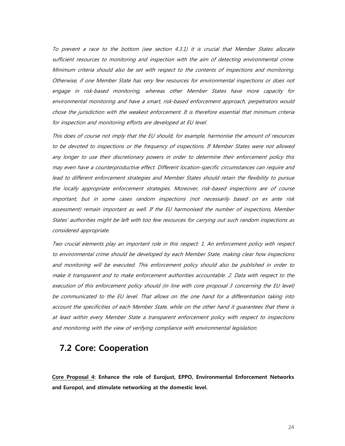To prevent a race to the bottom (see section 4.3.1) it is crucial that Member States allocate sufficient resources to monitoring and inspection with the aim of detecting environmental crime. Minimum criteria should also be set with respect to the contents of inspections and monitoring. Otherwise, if one Member State has very few resources for environmental inspections or does not engage in risk-based monitoring, whereas other Member States have more capacity for environmental monitoring and have a smart, risk-based enforcement approach, perpetrators would chose the jurisdiction with the weakest enforcement. It is therefore essential that minimum criteria for inspection and monitoring efforts are developed at EU level.

This does of course not imply that the EU should, for example, harmonise the amount of resources to be devoted to inspections or the frequency of inspections. If Member States were not allowed any longer to use their discretionary powers in order to determine their enforcement policy this may even have a counterproductive effect. Different location-specific circumstances can require and lead to different enforcement strategies and Member States should retain the flexibility to pursue the locally appropriate enforcement strategies. Moreover, risk-based inspections are of course important, but in some cases random inspections (not necessarily based on ex ante risk assessment) remain important as well. If the EU harmonised the number of inspections, Member States' authorities might be left with too few resources for carrying out such random inspections as considered appropriate.

Two crucial elements play an important role in this respect: 1. An enforcement policy with respect to environmental crime should be developed by each Member State, making clear how inspections and monitoring will be executed. This enforcement policy should also be published in order to make it transparent and to make enforcement authorities accountable. 2. Data with respect to the execution of this enforcement policy should (in line with core proposal 3 concerning the EU level) be communicated to the EU level. That allows on the one hand for a differentiation taking into account the specificities of each Member State, while on the other hand it guarantees that there is at least within every Member State a transparent enforcement policy with respect to inspections and monitoring with the view of verifying compliance with environmental legislation.

## **7.2 Core: Cooperation**

**Core Proposal 4: Enhance the role of Eurojust, EPPO, Environmental Enforcement Networks and Europol, and stimulate networking at the domestic level.**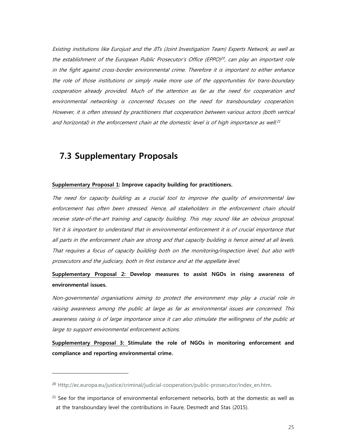Existing institutions like Eurojust and the JITs (Joint Investigation Team) Experts Network, as well as the establishment of the European Public Prosecutor's Office (EPPO)<sup>20</sup>, can play an important role in the fight against cross-border environmental crime. Therefore it is important to either enhance the role of those institutions or simply make more use of the opportunities for trans-boundary cooperation already provided. Much of the attention as far as the need for cooperation and environmental networking is concerned focuses on the need for transboundary cooperation. However, it is often stressed by practitioners that cooperation between various actors (both vertical and horizontal) in the enforcement chain at the domestic level is of high importance as well. $^{21}$ 

## **7.3 Supplementary Proposals**

-

#### **Supplementary Proposal 1: Improve capacity building for practitioners.**

The need for capacity building as a crucial tool to improve the quality of environmental law enforcement has often been stressed. Hence, all stakeholders in the enforcement chain should receive state-of-the-art training and capacity building. This may sound like an obvious proposal. Yet it is important to understand that in environmental enforcement it is of crucial importance that all parts in the enforcement chain are strong and that capacity building is hence aimed at all levels. That requires a focus of capacity building both on the monitoring/inspection level, but also with prosecutors and the judiciary, both in first instance and at the appellate level.

## **Supplementary Proposal 2: Develop measures to assist NGOs in rising awareness of environmental issues.**

Non-governmental organisations aiming to protect the environment may play a crucial role in raising awareness among the public at large as far as environmental issues are concerned. This awareness raising is of large importance since it can also stimulate the willingness of the public at large to support environmental enforcement actions.

**Supplementary Proposal 3: Stimulate the role of NGOs in monitoring enforcement and compliance and reporting environmental crime.** 

<sup>&</sup>lt;sup>20</sup> Http://ec.europa.eu/justice/criminal/judicial-cooperation/public-prosecutor/index en.htm.

 $21$  See for the importance of environmental enforcement networks, both at the domestic as well as at the transboundary level the contributions in Faure, Desmedt and Stas (2015).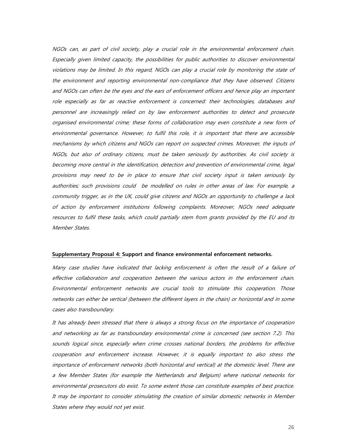NGOs can, as part of civil society, play a crucial role in the environmental enforcement chain. Especially given limited capacity, the possibilities for public authorities to discover environmental violations may be limited. In this regard, NGOs can play a crucial role by monitoring the state of the environment and reporting environmental non-compliance that they have observed. Citizens and NGOs can often be the eyes and the ears of enforcement officers and hence play an important role especially as far as reactive enforcement is concerned: their technologies, databases and personnel are increasingly relied on by law enforcement authorities to detect and prosecute organised environmental crime; these forms of collaboration may even constitute a new form of environmental governance. However, to fulfil this role, it is important that there are accessible mechanisms by which citizens and NGOs can report on suspected crimes. Moreover, the inputs of NGOs, but also of ordinary citizens, must be taken seriously by authorities. As civil society is becoming more central in the identification, detection and prevention of environmental crime, legal provisions may need to be in place to ensure that civil society input is taken seriously by authorities; such provisions could be modelled on rules in other areas of law. For example, a community trigger, as in the UK, could give citizens and NGOs an opportunity to challenge a lack of action by enforcement institutions following complaints. Moreover, NGOs need adequate resources to fulfil these tasks, which could partially stem from grants provided by the EU and its Member States.

#### **Supplementary Proposal 4: Support and finance environmental enforcement networks.**

Many case studies have indicated that lacking enforcement is often the result of a failure of effective collaboration and cooperation between the various actors in the enforcement chain. Environmental enforcement networks are crucial tools to stimulate this cooperation. Those networks can either be vertical (between the different layers in the chain) or horizontal and in some cases also transboundary.

It has already been stressed that there is always a strong focus on the importance of cooperation and networking as far as transboundary environmental crime is concerned (see section 7.2). This sounds logical since, especially when crime crosses national borders, the problems for effective cooperation and enforcement increase. However, it is equally important to also stress the importance of enforcement networks (both horizontal and vertical) at the domestic level. There are a few Member States (for example the Netherlands and Belgium) where national networks for environmental prosecutors do exist. To some extent those can constitute examples of best practice. It may be important to consider stimulating the creation of similar domestic networks in Member States where they would not yet exist.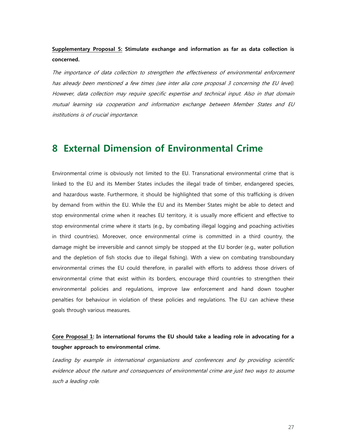## **Supplementary Proposal 5: Stimulate exchange and information as far as data collection is concerned.**

The importance of data collection to strengthen the effectiveness of environmental enforcement has already been mentioned a few times (see inter alia core proposal 3 concerning the EU level). However, data collection may require specific expertise and technical input. Also in that domain mutual learning via cooperation and information exchange between Member States and EU institutions is of crucial importance.

# **8 External Dimension of Environmental Crime**

Environmental crime is obviously not limited to the EU. Transnational environmental crime that is linked to the EU and its Member States includes the illegal trade of timber, endangered species, and hazardous waste. Furthermore, it should be highlighted that some of this trafficking is driven by demand from within the EU. While the EU and its Member States might be able to detect and stop environmental crime when it reaches EU territory, it is usually more efficient and effective to stop environmental crime where it starts (e.g., by combating illegal logging and poaching activities in third countries). Moreover, once environmental crime is committed in a third country, the damage might be irreversible and cannot simply be stopped at the EU border (e.g., water pollution and the depletion of fish stocks due to illegal fishing). With a view on combating transboundary environmental crimes the EU could therefore, in parallel with efforts to address those drivers of environmental crime that exist within its borders, encourage third countries to strengthen their environmental policies and regulations, improve law enforcement and hand down tougher penalties for behaviour in violation of these policies and regulations. The EU can achieve these goals through various measures.

## **Core Proposal 1: In international forums the EU should take a leading role in advocating for a tougher approach to environmental crime.**

Leading by example in international organisations and conferences and by providing scientific evidence about the nature and consequences of environmental crime are just two ways to assume such a leading role.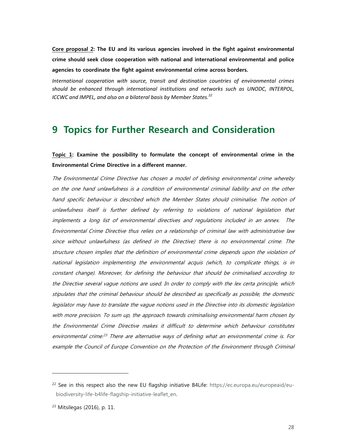**Core proposal 2: The EU and its various agencies involved in the fight against environmental crime should seek close cooperation with national and international environmental and police agencies to coordinate the fight against environmental crime across borders.** 

*International cooperation with source, transit and destination countries of environmental crimes should be enhanced through international institutions and networks such as UNODC, INTERPOL, ICCWC and IMPEL, and also on a bilateral basis by Member States.<sup>22</sup>*

## **9 Topics for Further Research and Consideration**

## **Topic 1: Examine the possibility to formulate the concept of environmental crime in the Environmental Crime Directive in a different manner.**

The Environmental Crime Directive has chosen a model of defining environmental crime whereby on the one hand unlawfulness is a condition of environmental criminal liability and on the other hand specific behaviour is described which the Member States should criminalise. The notion of unlawfulness itself is further defined by referring to violations of national legislation that implements a long list of environmental directives and regulations included in an annex. The Environmental Crime Directive thus relies on a relationship of criminal law with administrative law since without unlawfulness (as defined in the Directive) there is no environmental crime. The structure chosen implies that the definition of environmental crime depends upon the violation of national legislation implementing the environmental acquis (which, to complicate things, is in constant change). Moreover, for defining the behaviour that should be criminalised according to the Directive several vague notions are used. In order to comply with the lex certa principle, which stipulates that the criminal behaviour should be described as specifically as possible, the domestic legislator may have to translate the vague notions used in the Directive into its domestic legislation with more precision. To sum up, the approach towards criminalising environmental harm chosen by the Environmental Crime Directive makes it difficult to determine which behaviour constitutes environmental crime.<sup>23</sup> There are alternative ways of defining what an environmental crime is. For example the Council of Europe Convention on the Protection of the Environment through Criminal

<sup>&</sup>lt;sup>22</sup> See in this respect also the new EU flagship initiative B4Life: https://ec.europa.eu/europeaid/eubiodiversity-life-b4life-flagship-initiative-leaflet\_en.

<sup>23</sup> Mitsilegas (2016), p. 11.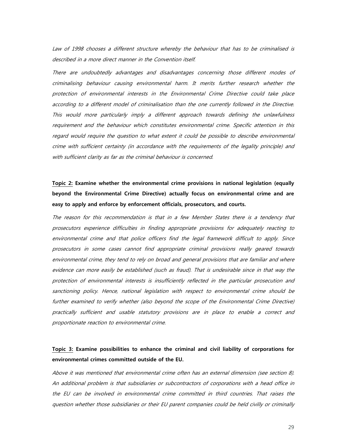Law of 1998 chooses a different structure whereby the behaviour that has to be criminalised is described in a more direct manner in the Convention itself.

There are undoubtedly advantages and disadvantages concerning those different modes of criminalising behaviour causing environmental harm. It merits further research whether the protection of environmental interests in the Environmental Crime Directive could take place according to a different model of criminalisation than the one currently followed in the Directive. This would more particularly imply a different approach towards defining the unlawfulness requirement and the behaviour which constitutes environmental crime. Specific attention in this regard would require the question to what extent it could be possible to describe environmental crime with sufficient certainty (in accordance with the requirements of the legality principle) and with sufficient clarity as far as the criminal behaviour is concerned.

## **Topic 2: Examine whether the environmental crime provisions in national legislation (equally beyond the Environmental Crime Directive) actually focus on environmental crime and are easy to apply and enforce by enforcement officials, prosecutors, and courts.**

The reason for this recommendation is that in a few Member States there is a tendency that prosecutors experience difficulties in finding appropriate provisions for adequately reacting to environmental crime and that police officers find the legal framework difficult to apply. Since prosecutors in some cases cannot find appropriate criminal provisions really geared towards environmental crime, they tend to rely on broad and general provisions that are familiar and where evidence can more easily be established (such as fraud). That is undesirable since in that way the protection of environmental interests is insufficiently reflected in the particular prosecution and sanctioning policy. Hence, national legislation with respect to environmental crime should be further examined to verify whether (also beyond the scope of the Environmental Crime Directive) practically sufficient and usable statutory provisions are in place to enable a correct and proportionate reaction to environmental crime.

## **Topic 3: Examine possibilities to enhance the criminal and civil liability of corporations for environmental crimes committed outside of the EU.**

Above it was mentioned that environmental crime often has an external dimension (see section 8). An additional problem is that subsidiaries or subcontractors of corporations with a head office in the EU can be involved in environmental crime committed in third countries. That raises the question whether those subsidiaries or their EU parent companies could be held civilly or criminally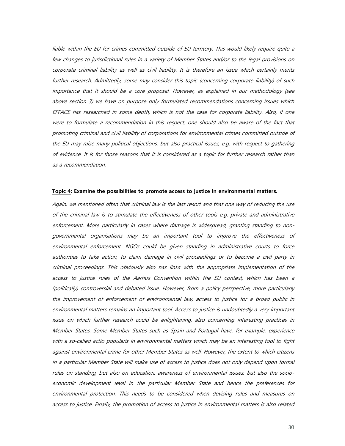liable within the EU for crimes committed outside of EU territory. This would likely require quite a few changes to jurisdictional rules in a variety of Member States and/or to the legal provisions on corporate criminal liability as well as civil liability. It is therefore an issue which certainly merits further research. Admittedly, some may consider this topic (concerning corporate liability) of such importance that it should be a core proposal. However, as explained in our methodology (see above section 3) we have on purpose only formulated recommendations concerning issues which EFFACE has researched in some depth, which is not the case for corporate liability. Also, if one were to formulate a recommendation in this respect, one should also be aware of the fact that promoting criminal and civil liability of corporations for environmental crimes committed outside of the EU may raise many political objections, but also practical issues, e.g. with respect to gathering of evidence. It is for those reasons that it is considered as a topic for further research rather than as a recommendation.

#### **Topic 4: Examine the possibilities to promote access to justice in environmental matters.**

Again, we mentioned often that criminal law is the last resort and that one way of reducing the use of the criminal law is to stimulate the effectiveness of other tools e.g. private and administrative enforcement. More particularly in cases where damage is widespread, granting standing to nongovernmental organisations may be an important tool to improve the effectiveness of environmental enforcement. NGOs could be given standing in administrative courts to force authorities to take action, to claim damage in civil proceedings or to become a civil party in criminal proceedings. This obviously also has links with the appropriate implementation of the access to justice rules of the Aarhus Convention within the EU context, which has been a (politically) controversial and debated issue. However, from a policy perspective, more particularly the improvement of enforcement of environmental law, access to justice for a broad public in environmental matters remains an important tool. Access to justice is undoubtedly a very important issue on which further research could be enlightening, also concerning interesting practices in Member States. Some Member States such as Spain and Portugal have, for example, experience with a so-called actio popularis in environmental matters which may be an interesting tool to fight against environmental crime for other Member States as well. However, the extent to which citizens in a particular Member State will make use of access to justice does not only depend upon formal rules on standing, but also on education, awareness of environmental issues, but also the socioeconomic development level in the particular Member State and hence the preferences for environmental protection. This needs to be considered when devising rules and measures on access to justice. Finally, the promotion of access to justice in environmental matters is also related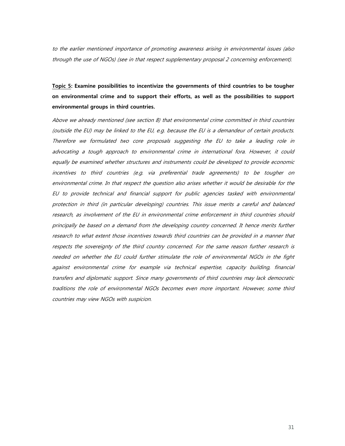to the earlier mentioned importance of promoting awareness arising in environmental issues (also through the use of NGOs) (see in that respect supplementary proposal 2 concerning enforcement).

**Topic 5: Examine possibilities to incentivize the governments of third countries to be tougher on environmental crime and to support their efforts, as well as the possibilities to support environmental groups in third countries.** 

Above we already mentioned (see section 8) that environmental crime committed in third countries (outside the EU) may be linked to the EU, e.g. because the EU is a demandeur of certain products. Therefore we formulated two core proposals suggesting the EU to take a leading role in advocating a tough approach to environmental crime in international fora. However, it could equally be examined whether structures and instruments could be developed to provide economic incentives to third countries (e.g. via preferential trade agreements) to be tougher on environmental crime. In that respect the question also arises whether it would be desirable for the EU to provide technical and financial support for public agencies tasked with environmental protection in third (in particular developing) countries. This issue merits a careful and balanced research, as involvement of the EU in environmental crime enforcement in third countries should principally be based on a demand from the developing country concerned. It hence merits further research to what extent those incentives towards third countries can be provided in a manner that respects the sovereignty of the third country concerned. For the same reason further research is needed on whether the EU could further stimulate the role of environmental NGOs in the fight against environmental crime for example via technical expertise, capacity building, financial transfers and diplomatic support. Since many governments of third countries may lack democratic traditions the role of environmental NGOs becomes even more important. However, some third countries may view NGOs with suspicion.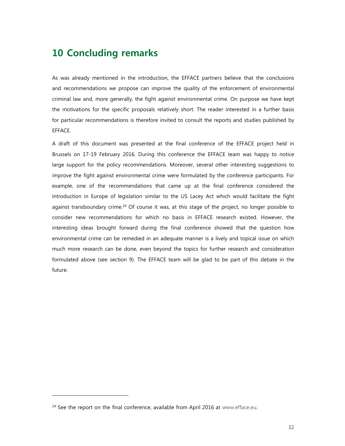# **10 Concluding remarks**

As was already mentioned in the introduction, the EFFACE partners believe that the conclusions and recommendations we propose can improve the quality of the enforcement of environmental criminal law and, more generally, the fight against environmental crime. On purpose we have kept the motivations for the specific proposals relatively short. The reader interested in a further basis for particular recommendations is therefore invited to consult the reports and studies published by EFFACE.

A draft of this document was presented at the final conference of the EFFACE project held in Brussels on 17-19 February 2016. During this conference the EFFACE team was happy to notice large support for the policy recommendations. Moreover, several other interesting suggestions to improve the fight against environmental crime were formulated by the conference participants. For example, one of the recommendations that came up at the final conference considered the introduction in Europe of legislation similar to the US Lacey Act which would facilitate the fight against transboundary crime.<sup>24</sup> Of course it was, at this stage of the project, no longer possible to consider new recommendations for which no basis in EFFACE research existed. However, the interesting ideas brought forward during the final conference showed that the question how environmental crime can be remedied in an adequate manner is a lively and topical issue on which much more research can be done, even beyond the topics for further research and consideration formulated above (see section 9). The EFFACE team will be glad to be part of this debate in the future.

<sup>&</sup>lt;sup>24</sup> See the report on the final conference, available from April 2016 at www.efface.eu.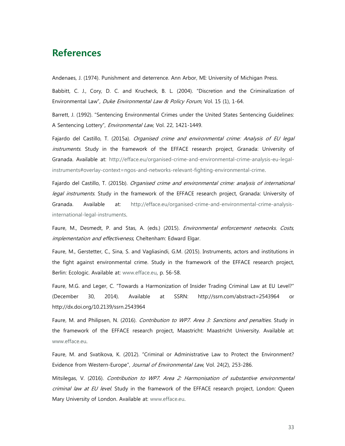## **References**

Andenaes, J. (1974). Punishment and deterrence. Ann Arbor, MI: University of Michigan Press.

Babbitt, C. J., Cory, D. C. and Krucheck, B. L. (2004). "Discretion and the Criminalization of Environmental Law", Duke Environmental Law & Policy Forum, Vol. 15 (1), 1-64.

Barrett, J. (1992). "Sentencing Environmental Crimes under the United States Sentencing Guidelines: A Sentencing Lottery", Environmental Law, Vol. 22, 1421-1449.

Fajardo del Castillo, T. (2015a). Organised crime and environmental crime: Analysis of EU legal instruments. Study in the framework of the EFFACE research project, Granada: University of Granada. Available at: http://efface.eu/organised-crime-and-environmental-crime-analysis-eu-legalinstruments#overlay-context=ngos-and-networks-relevant-fighting-environmental-crime.

Fajardo del Castillo, T. (2015b). Organised crime and environmental crime: analysis of international legal instruments. Study in the framework of the EFFACE research project, Granada: University of Granada. Available at: http://efface.eu/organised-crime-and-environmental-crime-analysisinternational-legal-instruments.

Faure, M., Desmedt, P. and Stas, A. (eds.) (2015). Environmental enforcement networks. Costs, implementation and effectiveness, Cheltenham: Edward Elgar.

Faure, M., Gerstetter, C., Sina, S. and Vagliasindi, G.M. (2015). Instruments, actors and institutions in the fight against environmental crime. Study in the framework of the EFFACE research project, Berlin: Ecologic. Available at: www.efface.eu, p. 56-58.

Faure, M.G. and Leger, C. "Towards a Harmonization of Insider Trading Criminal Law at EU Level?" (December 30, 2014). Available at SSRN: http://ssrn.com/abstract=2543964 or http://dx.doi.org/10.2139/ssrn.2543964

Faure, M. and Philipsen, N. (2016). Contribution to WP7. Area 3: Sanctions and penalties. Study in the framework of the EFFACE research project, Maastricht: Maastricht University. Available at: www.efface.eu.

Faure, M. and Svatikova, K. (2012). "Criminal or Administrative Law to Protect the Environment? Evidence from Western-Europe", Journal of Environmental Law, Vol. 24(2), 253-286.

Mitsilegas, V. (2016). Contribution to WP7. Area 2: Harmonisation of substantive environmental criminal law at EU level. Study in the framework of the EFFACE research project, London: Queen Mary University of London. Available at: www.efface.eu.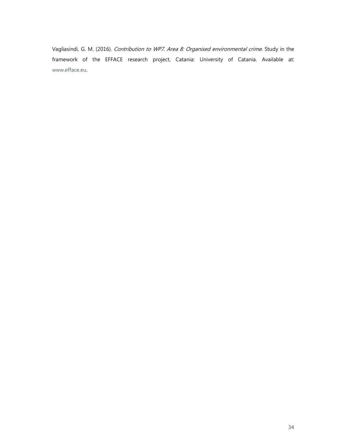Vagliasindi, G. M. (2016). Contribution to WP7. Area 8: Organised environmental crime. Study in the framework of the EFFACE research project, Catania: University of Catania. Available at: www.efface.eu.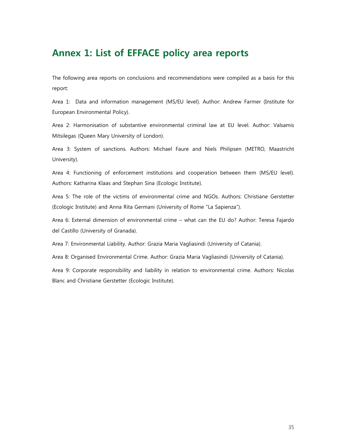# **Annex 1: List of EFFACE policy area reports**

The following area reports on conclusions and recommendations were compiled as a basis for this report:

Area 1: Data and information management (MS/EU level). Author: Andrew Farmer (Institute for European Environmental Policy).

Area 2: Harmonisation of substantive environmental criminal law at EU level. Author: Valsamis Mitsilegas (Queen Mary University of London).

Area 3: System of sanctions. Authors: Michael Faure and Niels Philipsen (METRO, Maastricht University).

Area 4: Functioning of enforcement institutions and cooperation between them (MS/EU level). Authors: Katharina Klaas and Stephan Sina (Ecologic Institute).

Area 5: The role of the victims of environmental crime and NGOs. Authors: Christiane Gerstetter (Ecologic Institute) and Anna Rita Germani (University of Rome "La Sapienza").

Area 6: External dimension of environmental crime – what can the EU do? Author: Teresa Fajardo del Castillo (University of Granada).

Area 7: Environmental Liability. Author: Grazia Maria Vagliasindi (University of Catania).

Area 8: Organised Environmental Crime. Author: Grazia Maria Vagliasindi (University of Catania).

Area 9: Corporate responsibility and liability in relation to environmental crime. Authors: Nicolas Blanc and Christiane Gerstetter (Ecologic Institute).